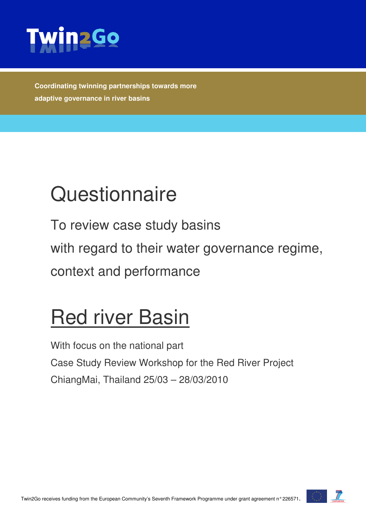

**Coordinating twinning partnerships towards more adaptive governance in river basins** 

# **Questionnaire**

To review case study basins with regard to their water governance regime, context and performance

# Red river Basin

With focus on the national part Case Study Review Workshop for the Red River Project ChiangMai, Thailand 25/03 – 28/03/2010

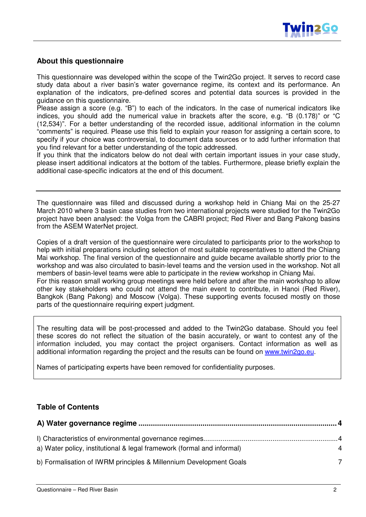

#### **About this questionnaire**

This questionnaire was developed within the scope of the Twin2Go project. It serves to record case study data about a river basin's water governance regime, its context and its performance. An explanation of the indicators, pre-defined scores and potential data sources is provided in the guidance on this questionnaire.

Please assign a score (e.g. "B") to each of the indicators. In the case of numerical indicators like indices, you should add the numerical value in brackets after the score, e.g. "B (0.178)" or "C (12,534)". For a better understanding of the recorded issue, additional information in the column "comments" is required. Please use this field to explain your reason for assigning a certain score, to specify if your choice was controversial, to document data sources or to add further information that you find relevant for a better understanding of the topic addressed.

If you think that the indicators below do not deal with certain important issues in your case study, please insert additional indicators at the bottom of the tables. Furthermore, please briefly explain the additional case-specific indicators at the end of this document.

The questionnaire was filled and discussed during a workshop held in Chiang Mai on the 25-27 March 2010 where 3 basin case studies from two international projects were studied for the Twin2Go project have been analysed: the Volga from the CABRI project; Red River and Bang Pakong basins from the ASEM WaterNet project.

Copies of a draft version of the questionnaire were circulated to participants prior to the workshop to help with initial preparations including selection of most suitable representatives to attend the Chiang Mai workshop. The final version of the questionnaire and guide became available shortly prior to the workshop and was also circulated to basin-level teams and the version used in the workshop. Not all members of basin-level teams were able to participate in the review workshop in Chiang Mai. For this reason small working group meetings were held before and after the main workshop to allow other key stakeholders who could not attend the main event to contribute, in Hanoi (Red River), Bangkok (Bang Pakong) and Moscow (Volga). These supporting events focused mostly on those parts of the questionnaire requiring expert judgment.

The resulting data will be post-processed and added to the Twin2Go database. Should you feel these scores do not reflect the situation of the basin accurately, or want to contest any of the information included, you may contact the project organisers. Contact information as well as additional information regarding the project and the results can be found on www.twin2go.eu.

Names of participating experts have been removed for confidentiality purposes.

#### **Table of Contents**

| a) Water policy, institutional & legal framework (formal and informal) | 4 |
|------------------------------------------------------------------------|---|
| b) Formalisation of IWRM principles & Millennium Development Goals     | 7 |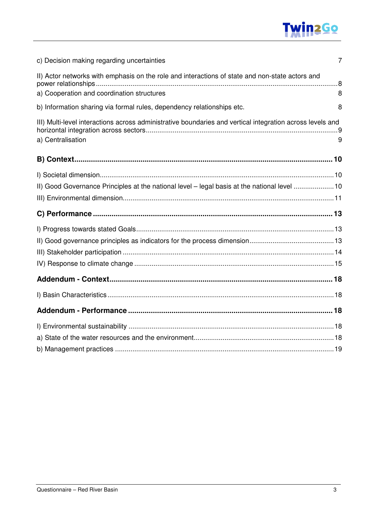## **Twin2Go**

| c) Decision making regarding uncertainties                                                                                     | $\overline{7}$ |
|--------------------------------------------------------------------------------------------------------------------------------|----------------|
| II) Actor networks with emphasis on the role and interactions of state and non-state actors and                                |                |
| a) Cooperation and coordination structures                                                                                     | 8              |
| b) Information sharing via formal rules, dependency relationships etc.                                                         | 8              |
| III) Multi-level interactions across administrative boundaries and vertical integration across levels and<br>a) Centralisation | 9              |
|                                                                                                                                |                |
|                                                                                                                                |                |
| II) Good Governance Principles at the national level - legal basis at the national level 10                                    |                |
|                                                                                                                                |                |
|                                                                                                                                |                |
|                                                                                                                                |                |
|                                                                                                                                |                |
|                                                                                                                                |                |
|                                                                                                                                |                |
|                                                                                                                                |                |
|                                                                                                                                |                |
|                                                                                                                                |                |
|                                                                                                                                |                |
|                                                                                                                                |                |
|                                                                                                                                |                |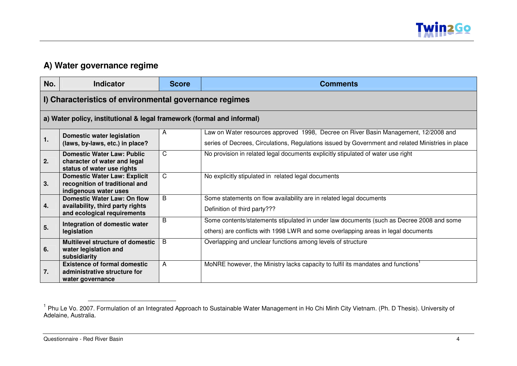

### **A) Water governance regime**

| No. | <b>Indicator</b>                                                       | <b>Score</b> | <b>Comments</b>                                                                                   |
|-----|------------------------------------------------------------------------|--------------|---------------------------------------------------------------------------------------------------|
|     | I) Characteristics of environmental governance regimes                 |              |                                                                                                   |
|     | a) Water policy, institutional & legal framework (formal and informal) |              |                                                                                                   |
|     | <b>Domestic water legislation</b>                                      | A            | Law on Water resources approved 1998, Decree on River Basin Management, 12/2008 and               |
| 1.  | (laws, by-laws, etc.) in place?                                        |              | series of Decrees, Circulations, Regulations issued by Government and related Ministries in place |
|     | <b>Domestic Water Law: Public</b>                                      | C            | No provision in related legal documents explicitly stipulated of water use right                  |
| 2.  | character of water and legal<br>status of water use rights             |              |                                                                                                   |
|     | <b>Domestic Water Law: Explicit</b>                                    | $\mathsf{C}$ | No explicitly stipulated in related legal documents                                               |
| 3.  | recognition of traditional and                                         |              |                                                                                                   |
|     | indigenous water uses<br>Domestic Water Law: On flow                   | B            | Some statements on flow availability are in related legal documents                               |
| 4.  | availability, third party rights                                       |              |                                                                                                   |
|     | and ecological requirements                                            |              | Definition of third party???                                                                      |
|     | Integration of domestic water                                          | B            | Some contents/statements stipulated in under law documents (such as Decree 2008 and some          |
| 5.  | legislation                                                            |              | others) are conflicts with 1998 LWR and some overlapping areas in legal documents                 |
|     | <b>Multilevel structure of domestic</b>                                | B            | Overlapping and unclear functions among levels of structure                                       |
| 6.  | water legislation and<br>subsidiarity                                  |              |                                                                                                   |
|     | <b>Existence of formal domestic</b>                                    | A            | MoNRE however, the Ministry lacks capacity to fulfil its mandates and functions <sup>1</sup>      |
| 7.  | administrative structure for                                           |              |                                                                                                   |
|     | water governance                                                       |              |                                                                                                   |

<sup>&</sup>lt;sup>1</sup> Phu Le Vo. 2007. Formulation of an Integrated Approach to Sustainable Water Management in Ho Chi Minh City Vietnam. (Ph. D Thesis). University of<br>Adelaine, Australia.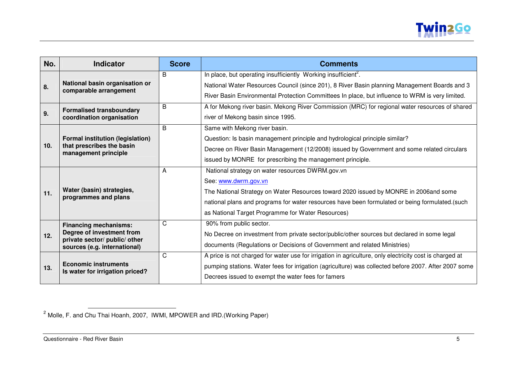

| No. | <b>Indicator</b>                                              | <b>Score</b> | <b>Comments</b>                                                                                         |
|-----|---------------------------------------------------------------|--------------|---------------------------------------------------------------------------------------------------------|
|     |                                                               | B            | In place, but operating insufficiently Working insufficient <sup>2</sup> .                              |
| 8.  | National basin organisation or                                |              | National Water Resources Council (since 201), 8 River Basin planning Management Boards and 3            |
|     | comparable arrangement                                        |              | River Basin Environmental Protection Committees In place, but influence to WRM is very limited.         |
|     | <b>Formalised transboundary</b>                               | B            | A for Mekong river basin. Mekong River Commission (MRC) for regional water resources of shared          |
| 9.  | coordination organisation                                     |              | river of Mekong basin since 1995.                                                                       |
|     |                                                               | B            | Same with Mekong river basin.                                                                           |
|     | <b>Formal institution (legislation)</b>                       |              | Question: Is basin management principle and hydrological principle similar?                             |
| 10. | that prescribes the basin<br>management principle             |              | Decree on River Basin Management (12/2008) issued by Government and some related circulars              |
|     |                                                               |              | issued by MONRE for prescribing the management principle.                                               |
|     |                                                               | A            | National strategy on water resources DWRM.gov.vn                                                        |
|     |                                                               |              | See: www.dwrm.gov.vn                                                                                    |
| 11. | Water (basin) strategies,                                     |              | The National Strategy on Water Resources toward 2020 issued by MONRE in 2006and some                    |
|     | programmes and plans                                          |              | national plans and programs for water resources have been formulated or being formulated.(such          |
|     |                                                               |              | as National Target Programme for Water Resources)                                                       |
|     | <b>Financing mechanisms:</b>                                  | C            | 90% from public sector.                                                                                 |
| 12. | Degree of investment from                                     |              | No Decree on investment from private sector/public/other sources but declared in some legal             |
|     | private sector/ public/ other<br>sources (e.g. international) |              | documents (Regulations or Decisions of Government and related Ministries)                               |
|     |                                                               | C            | A price is not charged for water use for irrigation in agriculture, only electricity cost is charged at |
| 13. | <b>Economic instruments</b>                                   |              | pumping stations. Water fees for irrigation (agriculture) was collected before 2007. After 2007 some    |
|     | Is water for irrigation priced?                               |              | Decrees issued to exempt the water fees for famers                                                      |

 $^2$  Molle, F. and Chu Thai Hoanh, 2007, IWMI, MPOWER and IRD.(Working Paper)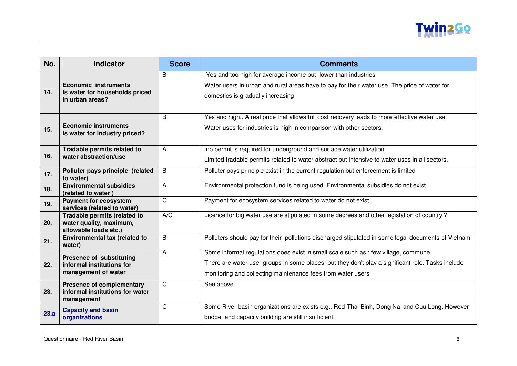

| No.  | <b>Indicator</b>                                                                  | <b>Score</b>   | <b>Comments</b>                                                                                                                                                                                                                                        |
|------|-----------------------------------------------------------------------------------|----------------|--------------------------------------------------------------------------------------------------------------------------------------------------------------------------------------------------------------------------------------------------------|
| 14.  | <b>Economic instruments</b><br>Is water for households priced<br>in urban areas?  | B              | Yes and too high for average income but lower than industries<br>Water users in urban and rural areas have to pay for their water use. The price of water for<br>domestics is gradually increasing                                                     |
| 15.  | <b>Economic instruments</b><br>Is water for industry priced?                      | B              | Yes and high A real price that allows full cost recovery leads to more effective water use.<br>Water uses for industries is high in comparison with other sectors.                                                                                     |
| 16.  | Tradable permits related to<br>water abstraction/use                              | A              | no permit is required for underground and surface water utilization.<br>Limited tradable permits related to water abstract but intensive to water uses in all sectors.                                                                                 |
| 17.  | Polluter pays principle (related<br>to water)                                     | B              | Polluter pays principle exist in the current regulation but enforcement is limited                                                                                                                                                                     |
| 18.  | <b>Environmental subsidies</b><br>(related to water)                              | A              | Environmental protection fund is being used. Environmental subsidies do not exist.                                                                                                                                                                     |
| 19.  | <b>Payment for ecosystem</b><br>services (related to water)                       | $\overline{C}$ | Payment for ecosystem services related to water do not exist.                                                                                                                                                                                          |
| 20.  | Tradable permits (related to<br>water quality, maximum,<br>allowable loads etc.)  | A/C            | Licence for big water use are stipulated in some decrees and other legislation of country.?                                                                                                                                                            |
| 21.  | Environmental tax (related to<br>water)                                           | B              | Polluters should pay for their pollutions discharged stipulated in some legal documents of Vietnam                                                                                                                                                     |
| 22.  | Presence of substituting<br>informal institutions for<br>management of water      | $\overline{A}$ | Some informal regulations does exist in small scale such as : few village, commune<br>There are water user groups in some places, but they don't play a significant role. Tasks include<br>monitoring and collecting maintenance fees from water users |
| 23.  | <b>Presence of complementary</b><br>informal institutions for water<br>management | $\mathsf{C}$   | See above                                                                                                                                                                                                                                              |
| 23.a | <b>Capacity and basin</b><br>organizations                                        | $\mathsf{C}$   | Some River basin organizations are exists e.g., Red-Thai Binh, Dong Nai and Cuu Long. However<br>budget and capacity building are still insufficient.                                                                                                  |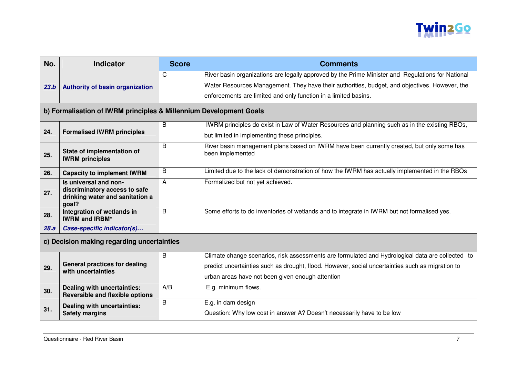

| No.  | <b>Indicator</b>                                                                                   | <b>Score</b> | <b>Comments</b>                                                                                               |  |
|------|----------------------------------------------------------------------------------------------------|--------------|---------------------------------------------------------------------------------------------------------------|--|
|      |                                                                                                    | С            | River basin organizations are legally approved by the Prime Minister and Regulations for National             |  |
| 23.b | <b>Authority of basin organization</b>                                                             |              | Water Resources Management. They have their authorities, budget, and objectives. However, the                 |  |
|      |                                                                                                    |              | enforcements are limited and only function in a limited basins.                                               |  |
|      | b) Formalisation of IWRM principles & Millennium Development Goals                                 |              |                                                                                                               |  |
|      |                                                                                                    | B            | IWRM principles do exist in Law of Water Resources and planning such as in the existing RBOs,                 |  |
| 24.  | <b>Formalised IWRM principles</b>                                                                  |              | but limited in implementing these principles.                                                                 |  |
| 25.  | State of implementation of<br><b>IWRM</b> principles                                               | B            | River basin management plans based on IWRM have been currently created, but only some has<br>been implemented |  |
| 26.  | <b>Capacity to implement IWRM</b>                                                                  | B            | Limited due to the lack of demonstration of how the IWRM has actually implemented in the RBOs                 |  |
| 27.  | Is universal and non-<br>discriminatory access to safe<br>drinking water and sanitation a<br>goal? | A            | Formalized but not yet achieved.                                                                              |  |
| 28.  | Integration of wetlands in<br><b>IWRM and IRBM*</b>                                                | B            | Some efforts to do inventories of wetlands and to integrate in IWRM but not formalised yes.                   |  |
| 28.a | Case-specific indicator(s)                                                                         |              |                                                                                                               |  |
|      | c) Decision making regarding uncertainties                                                         |              |                                                                                                               |  |
|      |                                                                                                    | B            | Climate change scenarios, risk assessments are formulated and Hydrological data are collected to              |  |
| 29.  | <b>General practices for dealing</b><br>with uncertainties                                         |              | predict uncertainties such as drought, flood. However, social uncertainties such as migration to              |  |
|      |                                                                                                    |              | urban areas have not been given enough attention                                                              |  |
| 30.  | Dealing with uncertainties:<br><b>Reversible and flexible options</b>                              | A/B          | E.g. minimum flows.                                                                                           |  |
|      | Dealing with uncertainties:                                                                        | B            | E.g. in dam design                                                                                            |  |
| 31.  | <b>Safety margins</b>                                                                              |              | Question: Why low cost in answer A? Doesn't necessarily have to be low                                        |  |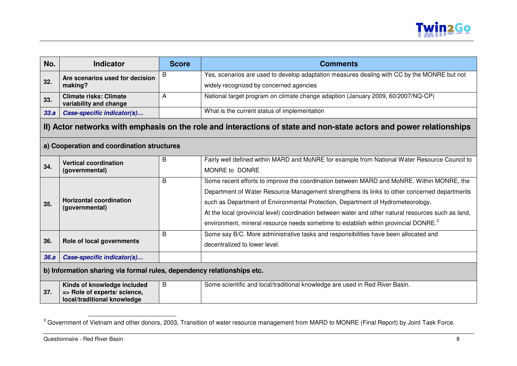

| No.  | <b>Indicator</b>                                                                           | <b>Score</b> | <b>Comments</b>                                                                                                                                                                                                                                                                                                                                                                                                                                                                         |
|------|--------------------------------------------------------------------------------------------|--------------|-----------------------------------------------------------------------------------------------------------------------------------------------------------------------------------------------------------------------------------------------------------------------------------------------------------------------------------------------------------------------------------------------------------------------------------------------------------------------------------------|
| 32.  | Are scenarios used for decision<br>making?                                                 | В            | Yes, scenarios are used to develop adaptation measures dealing with CC by the MONRE but not<br>widely recognized by concerned agencies                                                                                                                                                                                                                                                                                                                                                  |
| 33.  | <b>Climate risks: Climate</b><br>variability and change                                    | A            | National target program on climate change adaption (January 2009, 60/2007/NQ-CP)                                                                                                                                                                                                                                                                                                                                                                                                        |
| 33.a | Case-specific indicator(s)                                                                 |              | What is the current status of implementation                                                                                                                                                                                                                                                                                                                                                                                                                                            |
|      |                                                                                            |              | II) Actor networks with emphasis on the role and interactions of state and non-state actors and power relationships                                                                                                                                                                                                                                                                                                                                                                     |
|      | a) Cooperation and coordination structures                                                 |              |                                                                                                                                                                                                                                                                                                                                                                                                                                                                                         |
| 34.  | <b>Vertical coordination</b><br>(governmental)                                             | B            | Fairly well defined within MARD and MoNRE for example from National Water Resource Council to<br>MONRE to DONRE                                                                                                                                                                                                                                                                                                                                                                         |
| 35.  | <b>Horizontal coordination</b><br>(governmental)                                           | B            | Some recent efforts to improve the coordination between MARD and MoNRE. Within MONRE, the<br>Department of Water Resource Management strengthens its links to other concerned departments<br>such as Department of Environmental Protection, Department of Hydrometeorology.<br>At the local (provincial level) coordination between water and other natural resources such as land,<br>environment, mineral resource needs sometime to establish within provincial DONRE. <sup>3</sup> |
| 36.  | Role of local governments                                                                  | B            | Some say B/C. More administrative tasks and responsibilities have been allocated and<br>decentralized to lower level.                                                                                                                                                                                                                                                                                                                                                                   |
| 36.a | Case-specific indicator(s)                                                                 |              |                                                                                                                                                                                                                                                                                                                                                                                                                                                                                         |
|      | b) Information sharing via formal rules, dependency relationships etc.                     |              |                                                                                                                                                                                                                                                                                                                                                                                                                                                                                         |
| 37.  | Kinds of knowledge included<br>=> Role of experts/ science,<br>local/traditional knowledge | B            | Some scientific and local/traditional knowledge are used in Red River Basin.                                                                                                                                                                                                                                                                                                                                                                                                            |

<sup>&</sup>lt;sup>3</sup> Government of Vietnam and other donors, 2003, Transition of water resource management from MARD to MONRE (Final Report) by Joint Task Force.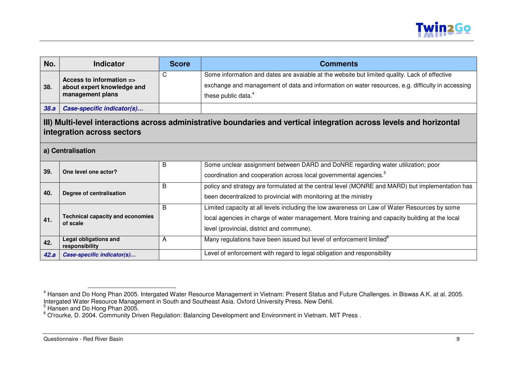

| No.  | <b>Indicator</b>                                                                                                                                   | <b>Score</b> | <b>Comments</b>                                                                                                                                                                                                                             |  |
|------|----------------------------------------------------------------------------------------------------------------------------------------------------|--------------|---------------------------------------------------------------------------------------------------------------------------------------------------------------------------------------------------------------------------------------------|--|
| 38.  | Access to information $\equiv$<br>about expert knowledge and<br>management plans                                                                   | C            | Some information and dates are avaiable at the website but limited quality. Lack of effective<br>exchange and management of data and information on water resources, e.g. difficulty in accessing<br>these public data. <sup>4</sup>        |  |
| 38.a | Case-specific indicator(s)                                                                                                                         |              |                                                                                                                                                                                                                                             |  |
|      | III) Multi-level interactions across administrative boundaries and vertical integration across levels and horizontal<br>integration across sectors |              |                                                                                                                                                                                                                                             |  |
|      | a) Centralisation                                                                                                                                  |              |                                                                                                                                                                                                                                             |  |
| 39.  | One level one actor?                                                                                                                               | В            | Some unclear assignment between DARD and DoNRE regarding water utilization; poor<br>coordination and cooperation across local governmental agencies. <sup>5</sup>                                                                           |  |
| 40.  | Degree of centralisation                                                                                                                           | в            | policy and strategy are formulated at the central level (MONRE and MARD) but implementation has<br>been decentralized to provincial with monitoring at the ministry                                                                         |  |
| 41.  | <b>Technical capacity and economies</b><br>of scale                                                                                                | B            | Limited capacity at all levels including the low awareness on Law of Water Resources by some<br>local agencies in charge of water management. More training and capacity building at the local<br>level (provincial, district and commune). |  |
| 42.  | <b>Legal obligations and</b><br>responsibility                                                                                                     | A            | Many regulations have been issued but level of enforcement limited <sup>o</sup>                                                                                                                                                             |  |
| 42.a | Case-specific indicator(s)                                                                                                                         |              | Level of enforcement with regard to legal obligation and responsibility                                                                                                                                                                     |  |

<sup>&</sup>lt;sup>4</sup> Hansen and Do Hong Phan 2005. Intergated Water Resource Management in Vietnam: Present Status and Future Challenges. in Biswas A.K. at al. 2005.<br>Intergated Water Resource Management in South and Southeast Asia. Oxford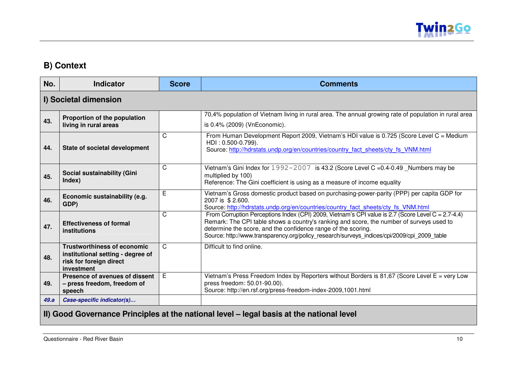

#### **B) Context**

| No.  | <b>Indicator</b>                                                                                                 | <b>Score</b> | <b>Comments</b>                                                                                                                                                                                                                                                                                                                                                |
|------|------------------------------------------------------------------------------------------------------------------|--------------|----------------------------------------------------------------------------------------------------------------------------------------------------------------------------------------------------------------------------------------------------------------------------------------------------------------------------------------------------------------|
|      | I) Societal dimension                                                                                            |              |                                                                                                                                                                                                                                                                                                                                                                |
| 43.  | Proportion of the population<br>living in rural areas                                                            |              | 70,4% population of Vietnam living in rural area. The annual growing rate of population in rural area<br>is 0.4% (2009) (VnEconomic).                                                                                                                                                                                                                          |
| 44.  | <b>State of societal development</b>                                                                             | $\mathsf{C}$ | From Human Development Report 2009, Vietnam's HDI value is 0.725 (Score Level C = Medium<br>$HDI: 0.500-0.799$ ).<br>Source: http://hdrstats.undp.org/en/countries/country fact sheets/cty fs VNM.html                                                                                                                                                         |
| 45.  | Social sustainability (Gini<br>Index)                                                                            | $\mathsf C$  | Vietnam's Gini Index for 1992-2007 is 43.2 (Score Level C = 0.4-0.49 _Numbers may be<br>multiplied by 100)<br>Reference: The Gini coefficient is using as a measure of income equality                                                                                                                                                                         |
| 46.  | Economic sustainability (e.g.<br>GDP)                                                                            | E            | Vietnam's Gross domestic product based on purchasing-power-parity (PPP) per capita GDP for<br>2007 is \$2.600.<br>Source: http://hdrstats.undp.org/en/countries/country fact sheets/cty fs VNM.html                                                                                                                                                            |
| 47.  | <b>Effectiveness of formal</b><br>institutions                                                                   | $\mathsf{C}$ | From Corruption Perceptions Index (CPI) 2009, Vietnam's CPI value is 2.7 (Score Level C = 2.7-4.4)<br>Remark: The CPI table shows a country's ranking and score, the number of surveys used to<br>determine the score, and the confidence range of the scoring.<br>Source: http://www.transparency.org/policy research/surveys indices/cpi/2009/cpi 2009 table |
| 48.  | <b>Trustworthiness of economic</b><br>institutional setting - degree of<br>risk for foreign direct<br>investment | C            | Difficult to find online.                                                                                                                                                                                                                                                                                                                                      |
| 49.  | Presence of avenues of dissent<br>- press freedom, freedom of<br>speech                                          | E            | Vietnam's Press Freedom Index by Reporters without Borders is 81,67 (Score Level $E = \text{very Low}$<br>press freedom: 50.01-90.00).<br>Source: http://en.rsf.org/press-freedom-index-2009,1001.html                                                                                                                                                         |
| 49.a | Case-specific indicator(s)                                                                                       |              |                                                                                                                                                                                                                                                                                                                                                                |

### **II) Good Governance Principles at the national level – legal basis at the national level**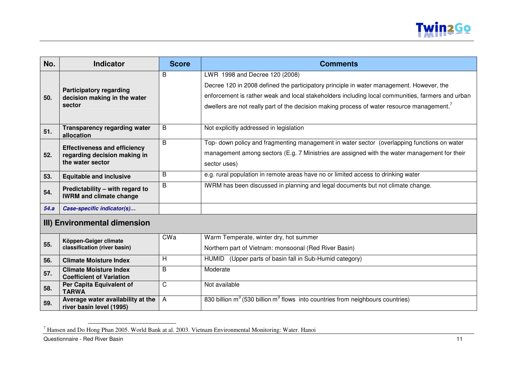

| No.  | <b>Indicator</b>                                                                        | <b>Score</b> | <b>Comments</b>                                                                                                                                                                                                                                                                                                             |
|------|-----------------------------------------------------------------------------------------|--------------|-----------------------------------------------------------------------------------------------------------------------------------------------------------------------------------------------------------------------------------------------------------------------------------------------------------------------------|
| 50.  | <b>Participatory regarding</b><br>decision making in the water<br>sector                | B            | LWR 1998 and Decree 120 (2008)<br>Decree 120 in 2008 defined the participatory principle in water management. However, the<br>enforcement is rather weak and local stakeholders including local communities, farmers and urban<br>dwellers are not really part of the decision making process of water resource management. |
| 51.  | <b>Transparency regarding water</b><br>allocation                                       | B            | Not explicitly addressed in legislation                                                                                                                                                                                                                                                                                     |
| 52.  | <b>Effectiveness and efficiency</b><br>regarding decision making in<br>the water sector | B            | Top- down policy and fragmenting management in water sector (overlapping functions on water<br>management among sectors (E.g. 7 Ministries are assigned with the water management for their<br>sector uses)                                                                                                                 |
| 53.  | <b>Equitable and inclusive</b>                                                          | B            | e.g. rural population in remote areas have no or limited access to drinking water                                                                                                                                                                                                                                           |
| 54.  | Predictability - with regard to<br><b>IWRM and climate change</b>                       | B            | IWRM has been discussed in planning and legal documents but not climate change.                                                                                                                                                                                                                                             |
| 54.a | Case-specific indicator(s)                                                              |              |                                                                                                                                                                                                                                                                                                                             |
|      | III) Environmental dimension                                                            |              |                                                                                                                                                                                                                                                                                                                             |
|      |                                                                                         | CWa          | Warm Temperate, winter dry, hot summer                                                                                                                                                                                                                                                                                      |

| 55. | Köppen-Geiger climate<br>classification (river basin)            | CWa | Warm Temperate, winter dry, hot summer<br>Northern part of Vietnam: monsoonal (Red River Basin) |
|-----|------------------------------------------------------------------|-----|-------------------------------------------------------------------------------------------------|
| 56. | <b>Climate Moisture Index</b>                                    |     | (Upper parts of basin fall in Sub-Humid category)<br><b>HUMID</b>                               |
| 57. | <b>Climate Moisture Index</b><br><b>Coefficient of Variation</b> | B   | Moderate                                                                                        |
| 58. | Per Capita Equivalent of<br><b>TARWA</b>                         |     | Not available                                                                                   |
| 59. | Average water availability at the<br>river basin level (1995)    | A   | 830 billion $m^3$ (530 billion $m^3$ flows into countries from neighbours countries)            |

<sup>7</sup> Hansen and Do Hong Phan 2005. World Bank at al. 2003. Vietnam Environmental Monitoring: Water. Hanoi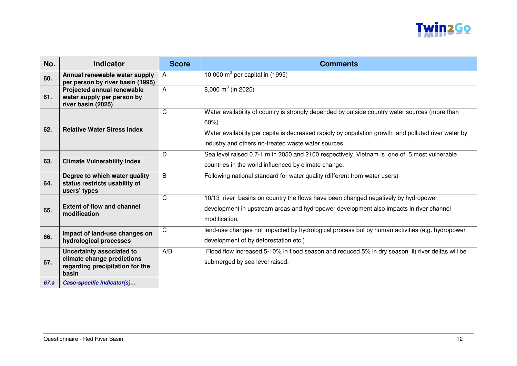

| No.  | <b>Indicator</b>                                                                                    | <b>Score</b> | <b>Comments</b>                                                                                                                                                                                                                                                    |
|------|-----------------------------------------------------------------------------------------------------|--------------|--------------------------------------------------------------------------------------------------------------------------------------------------------------------------------------------------------------------------------------------------------------------|
| 60.  | Annual renewable water supply<br>per person by river basin (1995)                                   | $\mathsf{A}$ | $10,000$ m <sup>3</sup> per capital in (1995)                                                                                                                                                                                                                      |
| 61.  | <b>Projected annual renewable</b><br>water supply per person by<br>river basin (2025)               | A            | $8,000 \text{ m}^3$ (in 2025)                                                                                                                                                                                                                                      |
| 62.  | <b>Relative Water Stress Index</b>                                                                  | $\mathsf C$  | Water availability of country is strongly depended by outside country water sources (more than<br>60%<br>Water availability per capita is decreased rapidly by population growth and polluted river water by<br>industry and others no-treated waste water sources |
| 63.  | <b>Climate Vulnerability Index</b>                                                                  | D.           | Sea level raised 0.7-1 m in 2050 and 2100 respectively. Vietnam is one of 5 most vulnerable<br>countries in the world influenced by climate change.                                                                                                                |
| 64.  | Degree to which water quality<br>status restricts usability of<br>users' types                      | B            | Following national standard for water quality (different from water users)                                                                                                                                                                                         |
| 65.  | <b>Extent of flow and channel</b><br>modification                                                   | $\mathsf{C}$ | 10/13 river basins on country the flows have been changed negatively by hydropower<br>development in upstream areas and hydropower development also impacts in river channel<br>modification.                                                                      |
| 66.  | Impact of land-use changes on<br>hydrological processes                                             | $\mathsf{C}$ | land-use changes not impacted by hydrological process but by human activities (e.g. hydropower<br>development of by deforestation etc.)                                                                                                                            |
| 67.  | Uncertainty associated to<br>climate change predictions<br>regarding precipitation for the<br>basin | A/B          | Flood flow increased 5-10% in flood season and reduced 5% in dry season. ii) river deltas will be<br>submerged by sea level raised.                                                                                                                                |
| 67.a | Case-specific indicator(s)                                                                          |              |                                                                                                                                                                                                                                                                    |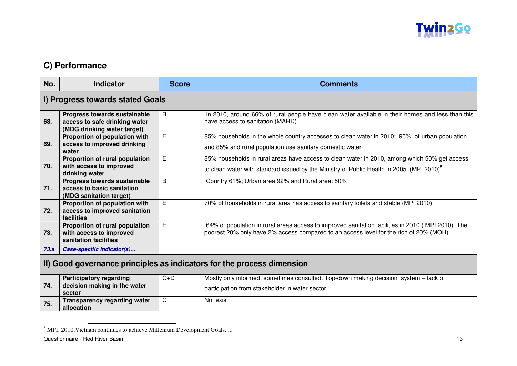

### **C) Performance**

| No.                                                                    | <b>Indicator</b>                                                                             | <b>Score</b> | <b>Comments</b>                                                                                                                                                                                       |  |
|------------------------------------------------------------------------|----------------------------------------------------------------------------------------------|--------------|-------------------------------------------------------------------------------------------------------------------------------------------------------------------------------------------------------|--|
|                                                                        | I) Progress towards stated Goals                                                             |              |                                                                                                                                                                                                       |  |
| 68.                                                                    | Progress towards sustainable<br>access to safe drinking water<br>(MDG drinking water target) | B            | in 2010, around 66% of rural people have clean water available in their homes and less than this<br>have access to sanitation (MARD).                                                                 |  |
| 69.                                                                    | Proportion of population with<br>access to improved drinking<br>water                        | E            | 85% households in the whole country accesses to clean water in 2010; 95% of urban population<br>and 85% and rural population use sanitary domestic water                                              |  |
| 70.                                                                    | Proportion of rural population<br>with access to improved<br>drinking water                  | E            | 85% households in rural areas have access to clean water in 2010, among which 50% get access<br>to clean water with standard issued by the Ministry of Public Health in 2005. (MPI 2010) <sup>8</sup> |  |
| 71.                                                                    | <b>Progress towards sustainable</b><br>access to basic sanitation<br>(MDG sanitation target) | B            | Country 61%; Urban area 92% and Rural area: 50%                                                                                                                                                       |  |
| 72.                                                                    | Proportion of population with<br>access to improved sanitation<br>facilities                 | E            | 70% of households in rural area has access to sanitary toilets and stable (MPI 2010)                                                                                                                  |  |
| 73.                                                                    | Proportion of rural population<br>with access to improved<br>sanitation facilities           | E            | 64% of population in rural areas access to improved sanitation facilities in 2010 (MPI 2010). The<br>poorest 20% only have 2% access compared to an access level for the rich of 20%.(MOH)            |  |
| 73.a                                                                   | Case-specific indicator(s)                                                                   |              |                                                                                                                                                                                                       |  |
| II) Good governance principles as indicators for the process dimension |                                                                                              |              |                                                                                                                                                                                                       |  |
| 74.                                                                    | <b>Participatory regarding</b><br>decision making in the water<br>sector                     | $C+D$        | Mostly only informed, sometimes consulted. Top-down making decision system – lack of<br>participation from stakeholder in water sector.                                                               |  |
| 75.                                                                    | <b>Transparency regarding water</b><br>allocation                                            | C            | Not exist                                                                                                                                                                                             |  |

<sup>&</sup>lt;sup>8</sup> MPI. 2010. Vietnam continues to achieve Millenium Development Goals.....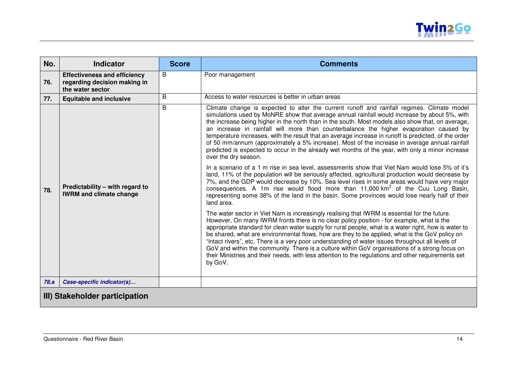

| No.                            | <b>Indicator</b>                                                                        | <b>Score</b> | <b>Comments</b>                                                                                                                                                                                                                                                                                                                                                                                                                                                                                                                                                                                                                                                                                                                                                                                                                                                                                                                                                                                                                                                                                                                                                                                                                                                                                                                                                                                                                                                                                                                                                                                                                                                                                                                                                                                                                                                                                                                                                                     |
|--------------------------------|-----------------------------------------------------------------------------------------|--------------|-------------------------------------------------------------------------------------------------------------------------------------------------------------------------------------------------------------------------------------------------------------------------------------------------------------------------------------------------------------------------------------------------------------------------------------------------------------------------------------------------------------------------------------------------------------------------------------------------------------------------------------------------------------------------------------------------------------------------------------------------------------------------------------------------------------------------------------------------------------------------------------------------------------------------------------------------------------------------------------------------------------------------------------------------------------------------------------------------------------------------------------------------------------------------------------------------------------------------------------------------------------------------------------------------------------------------------------------------------------------------------------------------------------------------------------------------------------------------------------------------------------------------------------------------------------------------------------------------------------------------------------------------------------------------------------------------------------------------------------------------------------------------------------------------------------------------------------------------------------------------------------------------------------------------------------------------------------------------------------|
| 76.                            | <b>Effectiveness and efficiency</b><br>regarding decision making in<br>the water sector | B            | Poor management                                                                                                                                                                                                                                                                                                                                                                                                                                                                                                                                                                                                                                                                                                                                                                                                                                                                                                                                                                                                                                                                                                                                                                                                                                                                                                                                                                                                                                                                                                                                                                                                                                                                                                                                                                                                                                                                                                                                                                     |
| 77.                            | <b>Equitable and inclusive</b>                                                          | B            | Access to water resources is better in urban areas                                                                                                                                                                                                                                                                                                                                                                                                                                                                                                                                                                                                                                                                                                                                                                                                                                                                                                                                                                                                                                                                                                                                                                                                                                                                                                                                                                                                                                                                                                                                                                                                                                                                                                                                                                                                                                                                                                                                  |
| 78.                            | Predictability - with regard to<br><b>IWRM and climate change</b>                       | B            | Climate change is expected to alter the current runoff and rainfall regimes. Climate model<br>simulations used by MoNRE show that average annual rainfall would increase by about 5%, with<br>the increase being higher in the north than in the south. Most models also show that, on average,<br>an increase in rainfall will more than counterbalance the higher evaporation caused by<br>temperature increases, with the result that an average increase in runoff is predicted, of the order<br>of 50 mm/annum (approximately a 5% increase). Most of the increase in average annual rainfall<br>predicted is expected to occur in the already wet months of the year, with only a minor increase<br>over the dry season.<br>In a scenario of a 1 m rise in sea level, assessments show that Viet Nam would lose 5% of it's<br>land, 11% of the population will be seriously affected, agricultural production would decrease by<br>7%, and the GDP would decrease by 10%. Sea level rises in some areas would have very major<br>consequences. A 1m rise would flood more than 11,000 km <sup>2</sup> of the Cuu Long Basin,<br>representing some 38% of the land in the basin. Some provinces would lose nearly half of their<br>land area.<br>The water sector in Viet Nam is increasingly realising that IWRM is essential for the future.<br>However, On many IWRM fronts there is no clear policy position - for example, what is the<br>appropriate standard for clean water supply for rural people, what is a water right, how is water to<br>be shared, what are environmental flows, how are they to be applied, what is the GoV policy on<br>"intact rivers", etc. There is a very poor understanding of water issues throughout all levels of<br>GoV and within the community. There is a culture within GoV organisations of a strong focus on<br>their Ministries and their needs, with less attention to the regulations and other requirements set<br>by GoV. |
| 78.a                           | Case-specific indicator(s)                                                              |              |                                                                                                                                                                                                                                                                                                                                                                                                                                                                                                                                                                                                                                                                                                                                                                                                                                                                                                                                                                                                                                                                                                                                                                                                                                                                                                                                                                                                                                                                                                                                                                                                                                                                                                                                                                                                                                                                                                                                                                                     |
| III) Stakeholder participation |                                                                                         |              |                                                                                                                                                                                                                                                                                                                                                                                                                                                                                                                                                                                                                                                                                                                                                                                                                                                                                                                                                                                                                                                                                                                                                                                                                                                                                                                                                                                                                                                                                                                                                                                                                                                                                                                                                                                                                                                                                                                                                                                     |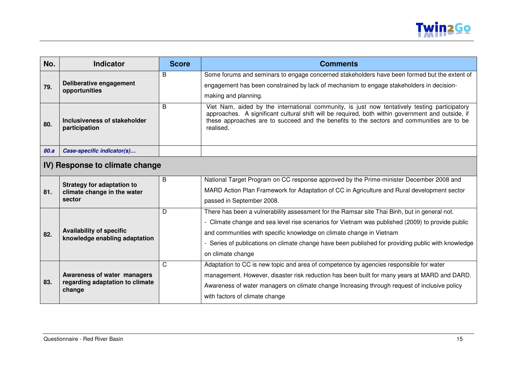

| No.  | <b>Indicator</b>                                                 | <b>Score</b> | <b>Comments</b>                                                                                                                                                                                                                                                                                              |  |  |
|------|------------------------------------------------------------------|--------------|--------------------------------------------------------------------------------------------------------------------------------------------------------------------------------------------------------------------------------------------------------------------------------------------------------------|--|--|
|      |                                                                  | B            | Some forums and seminars to engage concerned stakeholders have been formed but the extent of                                                                                                                                                                                                                 |  |  |
| 79.  | Deliberative engagement<br>opportunities                         |              | engagement has been constrained by lack of mechanism to engage stakeholders in decision-                                                                                                                                                                                                                     |  |  |
|      |                                                                  |              | making and planning.                                                                                                                                                                                                                                                                                         |  |  |
| 80.  | Inclusiveness of stakeholder<br>participation                    | B            | Viet Nam, aided by the international community, is just now tentatively testing participatory<br>approaches. A significant cultural shift will be required, both within government and outside, if<br>these approaches are to succeed and the benefits to the sectors and communities are to be<br>realised. |  |  |
| 80.a | Case-specific indicator(s)                                       |              |                                                                                                                                                                                                                                                                                                              |  |  |
|      | IV) Response to climate change                                   |              |                                                                                                                                                                                                                                                                                                              |  |  |
|      | <b>Strategy for adaptation to</b>                                | B            | National Target Program on CC response approved by the Prime-minister December 2008 and                                                                                                                                                                                                                      |  |  |
| 81.  | climate change in the water                                      |              | MARD Action Plan Framework for Adaptation of CC in Agriculture and Rural development sector                                                                                                                                                                                                                  |  |  |
|      | sector                                                           |              | passed in September 2008.                                                                                                                                                                                                                                                                                    |  |  |
|      |                                                                  | D            | There has been a vulnerability assessment for the Ramsar site Thai Binh, but in general not.                                                                                                                                                                                                                 |  |  |
|      |                                                                  |              | - Climate change and sea level rise scenarios for Vietnam was published (2009) to provide public                                                                                                                                                                                                             |  |  |
| 82.  | <b>Availability of specific</b><br>knowledge enabling adaptation |              | and communities with specific knowledge on climate change in Vietnam                                                                                                                                                                                                                                         |  |  |
|      |                                                                  |              | Series of publications on climate change have been published for providing public with knowledge                                                                                                                                                                                                             |  |  |
|      |                                                                  |              | on climate change                                                                                                                                                                                                                                                                                            |  |  |
|      |                                                                  | C            | Adaptation to CC is new topic and area of competence by agencies responsible for water                                                                                                                                                                                                                       |  |  |
| 83.  | Awareness of water managers                                      |              | management. However, disaster risk reduction has been built for many years at MARD and DARD.                                                                                                                                                                                                                 |  |  |
|      | regarding adaptation to climate<br>change                        |              | Awareness of water managers on climate change Increasing through request of inclusive policy                                                                                                                                                                                                                 |  |  |
|      |                                                                  |              | with factors of climate change                                                                                                                                                                                                                                                                               |  |  |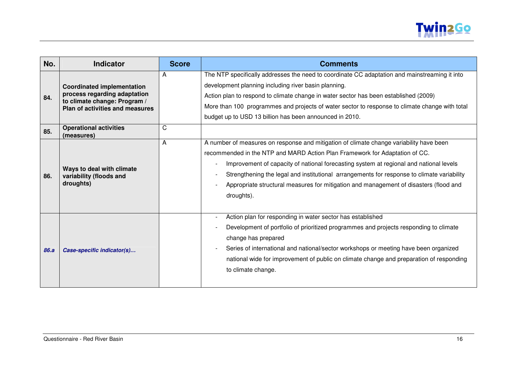

| No.  | <b>Indicator</b>                                                                                                                            | <b>Score</b> | <b>Comments</b>                                                                                                                                                                                                                                                                                                                                                                                                                                                       |
|------|---------------------------------------------------------------------------------------------------------------------------------------------|--------------|-----------------------------------------------------------------------------------------------------------------------------------------------------------------------------------------------------------------------------------------------------------------------------------------------------------------------------------------------------------------------------------------------------------------------------------------------------------------------|
| 84.  | <b>Coordinated implementation</b><br>process regarding adaptation<br>to climate change: Program /<br><b>Plan of activities and measures</b> | A            | The NTP specifically addresses the need to coordinate CC adaptation and mainstreaming it into<br>development planning including river basin planning.<br>Action plan to respond to climate change in water sector has been established (2009)<br>More than 100 programmes and projects of water sector to response to climate change with total<br>budget up to USD 13 billion has been announced in 2010.                                                            |
| 85.  | <b>Operational activities</b><br>(measures)                                                                                                 | C            |                                                                                                                                                                                                                                                                                                                                                                                                                                                                       |
| 86.  | Ways to deal with climate<br>variability (floods and<br>droughts)                                                                           | A            | A number of measures on response and mitigation of climate change variability have been<br>recommended in the NTP and MARD Action Plan Framework for Adaptation of CC.<br>Improvement of capacity of national forecasting system at regional and national levels<br>Strengthening the legal and institutional arrangements for response to climate variability<br>Appropriate structural measures for mitigation and management of disasters (flood and<br>droughts). |
| 86.a | Case-specific indicator(s)                                                                                                                  |              | Action plan for responding in water sector has established<br>Development of portfolio of prioritized programmes and projects responding to climate<br>change has prepared<br>Series of international and national/sector workshops or meeting have been organized<br>national wide for improvement of public on climate change and preparation of responding<br>to climate change.                                                                                   |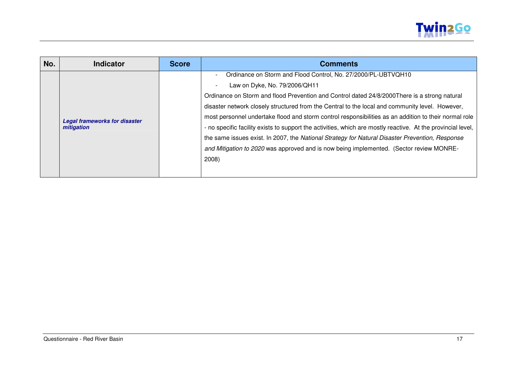

| No. | <b>Indicator</b>                                   | <b>Score</b> | <b>Comments</b>                                                                                              |
|-----|----------------------------------------------------|--------------|--------------------------------------------------------------------------------------------------------------|
|     |                                                    |              | Ordinance on Storm and Flood Control, No. 27/2000/PL-UBTVQH10                                                |
|     |                                                    |              | Law on Dyke, No. 79/2006/QH11                                                                                |
|     |                                                    |              | Ordinance on Storm and flood Prevention and Control dated 24/8/2000 There is a strong natural                |
|     | <b>Legal frameworks for disaster</b><br>mitigation |              | disaster network closely structured from the Central to the local and community level. However,              |
|     |                                                    |              | most personnel undertake flood and storm control responsibilities as an addition to their normal role        |
|     |                                                    |              | - no specific facility exists to support the activities, which are mostly reactive. At the provincial level, |
|     |                                                    |              | the same issues exist. In 2007, the National Strategy for Natural Disaster Prevention, Response              |
|     |                                                    |              | and Mitigation to 2020 was approved and is now being implemented. (Sector review MONRE-                      |
|     |                                                    |              | 2008)                                                                                                        |
|     |                                                    |              |                                                                                                              |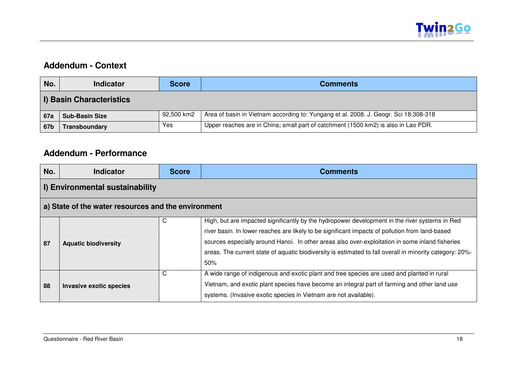

#### **Addendum - Context**

| No.        | <b>Indicator</b>                | <b>Score</b> | <b>Comments</b>                                                                      |  |  |
|------------|---------------------------------|--------------|--------------------------------------------------------------------------------------|--|--|
|            | <b>I) Basin Characteristics</b> |              |                                                                                      |  |  |
| <b>67a</b> | <b>Sub-Basin Size</b>           | 92,500 km2   | Area of basin in Vietnam according to: Yungang et al. 2008. J. Geogr. Sci 18:308-318 |  |  |
| 67b        | Transboundary                   | Yes.         | Upper reaches are in China; small part of catchment (1500 km2) is also in Lao PDR.   |  |  |

#### **Addendum - Performance**

| No. | <b>Indicator</b>                                    | <b>Score</b> | <b>Comments</b>                                                                                                                                                                                                                                                                                                                                                                                                         |  |  |
|-----|-----------------------------------------------------|--------------|-------------------------------------------------------------------------------------------------------------------------------------------------------------------------------------------------------------------------------------------------------------------------------------------------------------------------------------------------------------------------------------------------------------------------|--|--|
|     | <b>I) Environmental sustainability</b>              |              |                                                                                                                                                                                                                                                                                                                                                                                                                         |  |  |
|     | a) State of the water resources and the environment |              |                                                                                                                                                                                                                                                                                                                                                                                                                         |  |  |
| 87  | <b>Aquatic biodiversity</b>                         | С            | High, but are impacted significantly by the hydropower development in the river systems in Red<br>river basin. In lower reaches are likely to be significant impacts of pollution from land-based<br>sources especially around Hanoi. In other areas also over-exploitation in some inland fisheries<br>areas. The current state of aquatic biodiversity is estimated to fall overall in minority category: 20%-<br>50% |  |  |
| 88  | <b>Invasive exotic species</b>                      | C            | A wide range of indigenous and exotic plant and tree species are used and planted in rural<br>Vietnam, and exotic plant species have become an integral part of farming and other land use<br>systems. (Invasive exotic species in Vietnam are not available).                                                                                                                                                          |  |  |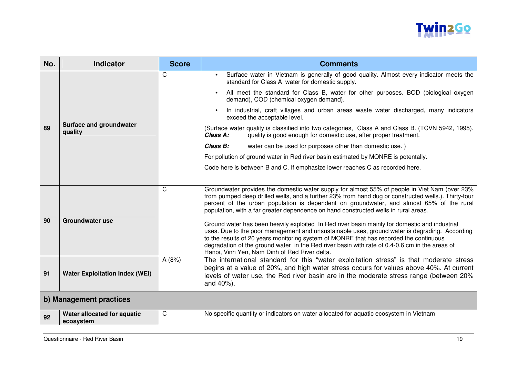

| No.                     | <b>Indicator</b>                         | <b>Score</b> | <b>Comments</b>                                                                                                                                                                                                                                                                                                                                                                                                                                                                                                                                                                                                                                                                                                                                                                                                                                                                                                                                                                                                              |
|-------------------------|------------------------------------------|--------------|------------------------------------------------------------------------------------------------------------------------------------------------------------------------------------------------------------------------------------------------------------------------------------------------------------------------------------------------------------------------------------------------------------------------------------------------------------------------------------------------------------------------------------------------------------------------------------------------------------------------------------------------------------------------------------------------------------------------------------------------------------------------------------------------------------------------------------------------------------------------------------------------------------------------------------------------------------------------------------------------------------------------------|
|                         | Surface and groundwater<br>quality       | C            | Surface water in Vietnam is generally of good quality. Almost every indicator meets the<br>standard for Class A water for domestic supply.                                                                                                                                                                                                                                                                                                                                                                                                                                                                                                                                                                                                                                                                                                                                                                                                                                                                                   |
|                         |                                          |              | All meet the standard for Class B, water for other purposes. BOD (biological oxygen<br>demand), COD (chemical oxygen demand).                                                                                                                                                                                                                                                                                                                                                                                                                                                                                                                                                                                                                                                                                                                                                                                                                                                                                                |
|                         |                                          |              | In industrial, craft villages and urban areas waste water discharged, many indicators<br>exceed the acceptable level.                                                                                                                                                                                                                                                                                                                                                                                                                                                                                                                                                                                                                                                                                                                                                                                                                                                                                                        |
| 89                      |                                          |              | (Surface water quality is classified into two categories, Class A and Class B. (TCVN 5942, 1995).<br>Class A:<br>quality is good enough for domestic use, after proper treatment.                                                                                                                                                                                                                                                                                                                                                                                                                                                                                                                                                                                                                                                                                                                                                                                                                                            |
|                         |                                          |              | Class B:<br>water can be used for purposes other than domestic use.)                                                                                                                                                                                                                                                                                                                                                                                                                                                                                                                                                                                                                                                                                                                                                                                                                                                                                                                                                         |
|                         |                                          |              | For pollution of ground water in Red river basin estimated by MONRE is potentally.                                                                                                                                                                                                                                                                                                                                                                                                                                                                                                                                                                                                                                                                                                                                                                                                                                                                                                                                           |
|                         |                                          |              | Code here is between B and C. If emphasize lower reaches C as recorded here.                                                                                                                                                                                                                                                                                                                                                                                                                                                                                                                                                                                                                                                                                                                                                                                                                                                                                                                                                 |
| 90<br>91                | Groundwater use                          | Ć<br>A(8%)   | Groundwater provides the domestic water supply for almost 55% of people in Viet Nam (over 23%<br>from pumped deep drilled wells, and a further 23% from hand dug or constructed wells.). Thirty-four<br>percent of the urban population is dependent on groundwater, and almost 65% of the rural<br>population, with a far greater dependence on hand constructed wells in rural areas.<br>Ground water has been heavily exploited In Red river basin mainly for domestic and industrial<br>uses. Due to the poor management and unsustainable uses, ground water is degrading. According<br>to the results of 20 years monitoring system of MONRE that has recorded the continuous<br>degradation of the ground water in the Red river basin with rate of 0.4-0.6 cm in the areas of<br>Hanoi, Vinh Yen, Nam Dinh of Red River delta.<br>The international standard for this "water exploitation stress" is that moderate stress<br>begins at a value of 20%, and high water stress occurs for values above 40%. At current |
|                         | <b>Water Exploitation Index (WEI)</b>    |              | levels of water use, the Red river basin are in the moderate stress range (between 20%<br>and 40%).                                                                                                                                                                                                                                                                                                                                                                                                                                                                                                                                                                                                                                                                                                                                                                                                                                                                                                                          |
| b) Management practices |                                          |              |                                                                                                                                                                                                                                                                                                                                                                                                                                                                                                                                                                                                                                                                                                                                                                                                                                                                                                                                                                                                                              |
| 92                      | Water allocated for aquatic<br>ecosystem | C            | No specific quantity or indicators on water allocated for aquatic ecosystem in Vietnam                                                                                                                                                                                                                                                                                                                                                                                                                                                                                                                                                                                                                                                                                                                                                                                                                                                                                                                                       |